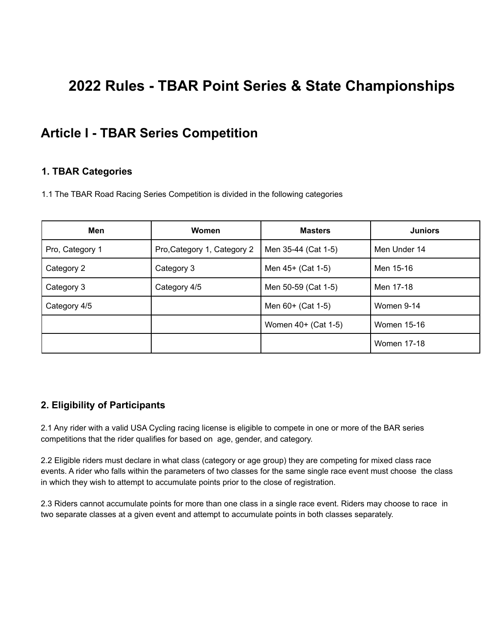# **2022 Rules - TBAR Point Series & State Championships**

# **Article I - TBAR Series Competition**

#### **1. TBAR Categories**

1.1 The TBAR Road Racing Series Competition is divided in the following categories

| Men             | Women                       | <b>Masters</b>      | <b>Juniors</b>     |
|-----------------|-----------------------------|---------------------|--------------------|
| Pro, Category 1 | Pro, Category 1, Category 2 | Men 35-44 (Cat 1-5) | Men Under 14       |
| Category 2      | Category 3                  | Men 45+ (Cat 1-5)   | Men 15-16          |
| Category 3      | Category 4/5                | Men 50-59 (Cat 1-5) | Men 17-18          |
| Category 4/5    |                             | Men 60+ (Cat 1-5)   | Women 9-14         |
|                 |                             | Women 40+ (Cat 1-5) | Women 15-16        |
|                 |                             |                     | <b>Women 17-18</b> |

# **2. Eligibility of Participants**

2.1 Any rider with a valid USA Cycling racing license is eligible to compete in one or more of the BAR series competitions that the rider qualifies for based on age, gender, and category.

2.2 Eligible riders must declare in what class (category or age group) they are competing for mixed class race events. A rider who falls within the parameters of two classes for the same single race event must choose the class in which they wish to attempt to accumulate points prior to the close of registration.

2.3 Riders cannot accumulate points for more than one class in a single race event. Riders may choose to race in two separate classes at a given event and attempt to accumulate points in both classes separately.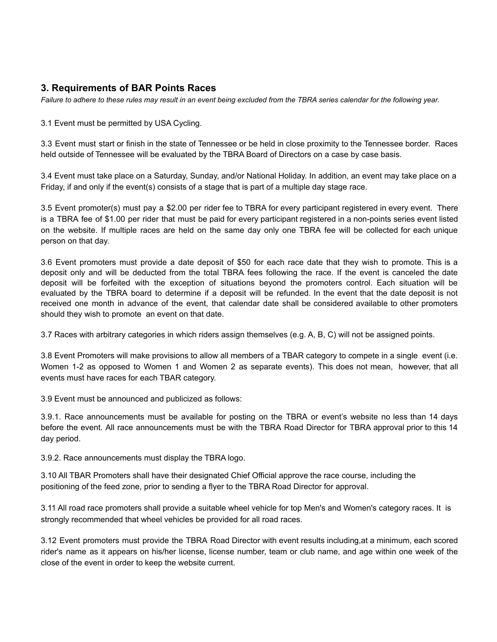### **3. Requirements of BAR Points Races**

*Failure to adhere to these rules may result in an event being excluded from the TBRA series calendar for the following year.*

3.1 Event must be permitted by USA Cycling.

3.3 Event must start or finish in the state of Tennessee or be held in close proximity to the Tennessee border. Races held outside of Tennessee will be evaluated by the TBRA Board of Directors on a case by case basis.

3.4 Event must take place on a Saturday, Sunday, and/or National Holiday. In addition, an event may take place on a Friday, if and only if the event(s) consists of a stage that is part of a multiple day stage race.

3.5 Event promoter(s) must pay a \$2.00 per rider fee to TBRA for every participant registered in every event. There is a TBRA fee of \$1.00 per rider that must be paid for every participant registered in a non-points series event listed on the website. If multiple races are held on the same day only one TBRA fee will be collected for each unique person on that day.

3.6 Event promoters must provide a date deposit of \$50 for each race date that they wish to promote. This is a deposit only and will be deducted from the total TBRA fees following the race. If the event is canceled the date deposit will be forfeited with the exception of situations beyond the promoters control. Each situation will be evaluated by the TBRA board to determine if a deposit will be refunded. In the event that the date deposit is not received one month in advance of the event, that calendar date shall be considered available to other promoters should they wish to promote an event on that date.

3.7 Races with arbitrary categories in which riders assign themselves (e.g. A, B, C) will not be assigned points.

3.8 Event Promoters will make provisions to allow all members of a TBAR category to compete in a single event (i.e. Women 1-2 as opposed to Women 1 and Women 2 as separate events). This does not mean, however, that all events must have races for each TBAR category.

3.9 Event must be announced and publicized as follows:

3.9.1. Race announcements must be available for posting on the TBRA or event's website no less than 14 days before the event. All race announcements must be with the TBRA Road Director for TBRA approval prior to this 14 day period.

3.9.2. Race announcements must display the TBRA logo.

3.10 All TBAR Promoters shall have their designated Chief Official approve the race course, including the positioning of the feed zone, prior to sending a flyer to the TBRA Road Director for approval.

3.11 All road race promoters shall provide a suitable wheel vehicle for top Men's and Women's category races. It is strongly recommended that wheel vehicles be provided for all road races.

3.12 Event promoters must provide the TBRA Road Director with event results including,at a minimum, each scored rider's name as it appears on his/her license, license number, team or club name, and age within one week of the close of the event in order to keep the website current.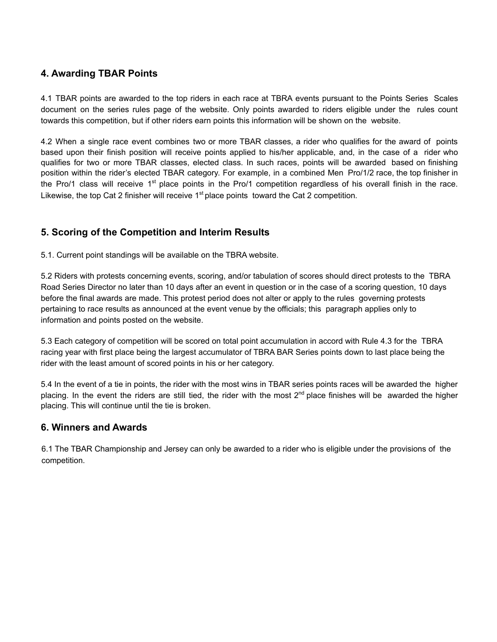### **4. Awarding TBAR Points**

4.1 TBAR points are awarded to the top riders in each race at TBRA events pursuant to the Points Series Scales document on the series rules page of the website. Only points awarded to riders eligible under the rules count towards this competition, but if other riders earn points this information will be shown on the website.

4.2 When a single race event combines two or more TBAR classes, a rider who qualifies for the award of points based upon their finish position will receive points applied to his/her applicable, and, in the case of a rider who qualifies for two or more TBAR classes, elected class. In such races, points will be awarded based on finishing position within the rider's elected TBAR category. For example, in a combined Men Pro/1/2 race, the top finisher in the Pro/1 class will receive 1<sup>st</sup> place points in the Pro/1 competition regardless of his overall finish in the race. Likewise, the top Cat 2 finisher will receive  $1<sup>st</sup>$  place points toward the Cat 2 competition.

# **5. Scoring of the Competition and Interim Results**

5.1. Current point standings will be available on the TBRA website.

5.2 Riders with protests concerning events, scoring, and/or tabulation of scores should direct protests to the TBRA Road Series Director no later than 10 days after an event in question or in the case of a scoring question, 10 days before the final awards are made. This protest period does not alter or apply to the rules governing protests pertaining to race results as announced at the event venue by the officials; this paragraph applies only to information and points posted on the website.

5.3 Each category of competition will be scored on total point accumulation in accord with Rule 4.3 for the TBRA racing year with first place being the largest accumulator of TBRA BAR Series points down to last place being the rider with the least amount of scored points in his or her category.

5.4 In the event of a tie in points, the rider with the most wins in TBAR series points races will be awarded the higher placing. In the event the riders are still tied, the rider with the most  $2^{nd}$  place finishes will be awarded the higher placing. This will continue until the tie is broken.

#### **6. Winners and Awards**

6.1 The TBAR Championship and Jersey can only be awarded to a rider who is eligible under the provisions of the competition.